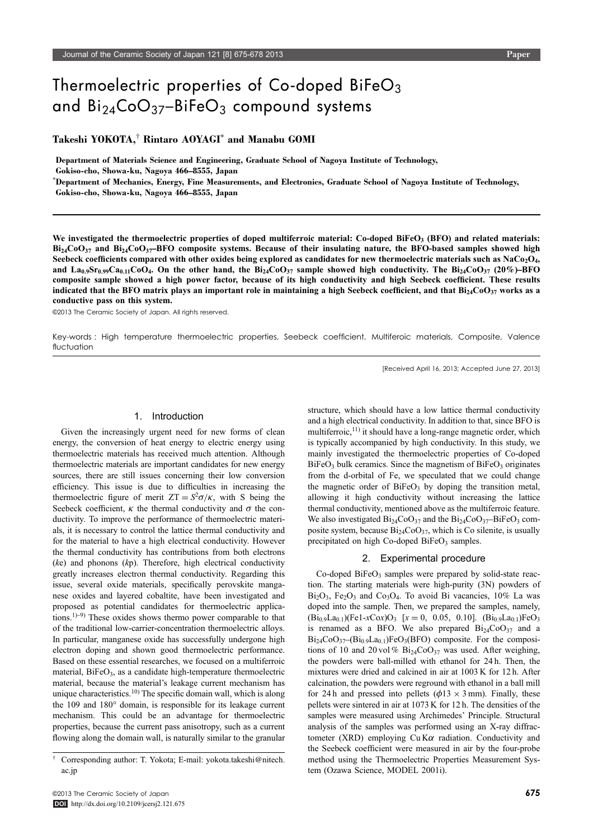# Thermoelectric properties of Co-doped BiFeO<sub>3</sub> and  $Bi_{24}CoO_{37} - BiFeO_3$  compound systems

# Takeshi YOKOTA,<sup>†</sup> Rintaro AOYAGI<sup>\*</sup> and Manabu GOMI

Department of Materials Science and Engineering, Graduate School of Nagoya Institute of Technology,

Gokiso-cho, Showa-ku, Nagoya 466–8555, Japan

\*Department of Mechanics, Energy, Fine Measurements, and Electronics, Graduate School of Nagoya Institute of Technology,

Gokiso-cho, Showa-ku, Nagoya 466–8555, Japan

We investigated the thermoelectric properties of doped multiferroic material: Co-doped BiFeO<sub>3</sub> (BFO) and related materials:  $Bi<sub>24</sub>CoO<sub>37</sub>$  and  $Bi<sub>24</sub>CoO<sub>37</sub>$ -BFO composite systems. Because of their insulating nature, the BFO-based samples showed high Seebeck coefficients compared with other oxides being explored as candidates for new thermoelectric materials such as  $NaCo<sub>2</sub>O<sub>4</sub>$ , and La<sub>0.9</sub>Sr<sub>0.99</sub>Ca<sub>0.11</sub>CoO<sub>4</sub>. On the other hand, the Bi<sub>24</sub>CoO<sub>37</sub> sample showed high conductivity. The Bi<sub>24</sub>CoO<sub>37</sub> (20%)–BFO composite sample showed a high power factor, because of its high conductivity and high Seebeck coefficient. These results indicated that the BFO matrix plays an important role in maintaining a high Seebeck coefficient, and that  $Bi<sub>24</sub>Co<sub>37</sub>$  works as a conductive pass on this system.

©2013 The Ceramic Society of Japan. All rights reserved.

Key-words : High temperature thermoelectric properties, Seebeck coefficient, Multiferoic materials, Composite, Valence fluctuation

[Received April 16, 2013; Accepted June 27, 2013]

# 1. Introduction

Given the increasingly urgent need for new forms of clean energy, the conversion of heat energy to electric energy using thermoelectric materials has received much attention. Although thermoelectric materials are important candidates for new energy sources, there are still issues concerning their low conversion efficiency. This issue is due to difficulties in increasing the thermoelectric figure of merit  $ZT = S^2 \sigma / \kappa$ , with S being the<br>Seebeck coefficient  $\kappa$  the thermal conductivity and  $\sigma$  the con-Seebeck coefficient,  $\kappa$  the thermal conductivity and  $\sigma$  the conductivity. To improve the performance of thermoelectric materials, it is necessary to control the lattice thermal conductivity and for the material to have a high electrical conductivity. However the thermal conductivity has contributions from both electrons  $(ke)$  and phonons  $(kp)$ . Therefore, high electrical conductivity greatly increases electron thermal conductivity. Regarding this issue, several oxide materials, specifically perovskite manganese oxides and layered cobaltite, have been investigated and proposed as potential candidates for thermoelectric applications.<sup>1)-9)</sup> These oxides shows thermo power comparable to that of the traditional low-carrier-concentration thermoelectric alloys. In particular, manganese oxide has successfully undergone high electron doping and shown good thermoelectric performance. Based on these essential researches, we focused on a multiferroic material,  $BiFeO<sub>3</sub>$ , as a candidate high-temperature thermoelectric material, because the material's leakage current mechanism has unique characteristics.<sup>10)</sup> The specific domain wall, which is along the 109 and 180° domain, is responsible for its leakage current mechanism. This could be an advantage for thermoelectric properties, because the current pass anisotropy, such as a current flowing along the domain wall, is naturally similar to the granular structure, which should have a low lattice thermal conductivity and a high electrical conductivity. In addition to that, since BFO is multiferroic, $^{11}$  it should have a long-range magnetic order, which is typically accompanied by high conductivity. In this study, we mainly investigated the thermoelectric properties of Co-doped  $BiFeO<sub>3</sub>$  bulk ceramics. Since the magnetism of  $BiFeO<sub>3</sub>$  originates from the d-orbital of Fe, we speculated that we could change the magnetic order of  $BiFeO<sub>3</sub>$  by doping the transition metal, allowing it high conductivity without increasing the lattice thermal conductivity, mentioned above as the multiferroic feature. We also investigated  $Bi_{24}CoO_{37}$  and the  $Bi_{24}CoO_{37}$ -BiFeO<sub>3</sub> composite system, because  $Bi_{24}CoO_{37}$ , which is Co silenite, is usually precipitated on high Co-doped BiFe $O<sub>3</sub>$  samples.

# 2. Experimental procedure

 $Co$ -doped  $BiFeO<sub>3</sub>$  samples were prepared by solid-state reaction. The starting materials were high-purity (3N) powders of  $Bi_2O_3$ ,  $Fe_2O_3$  and  $Co_3O_4$ . To avoid Bi vacancies, 10% La was doped into the sample. Then, we prepared the samples, namely,  $(Bi_{0.9}La_{0.1})$ (Fe1-xCox)O<sub>3</sub> [x = 0, 0.05, 0.10]. (Bi<sub>0.9</sub>La<sub>0.1</sub>)FeO<sub>3</sub> is renamed as a BFO. We also prepared  $Bi_{24}CoO_{37}$  and a  $Bi_{24}CoO_{37}$  ( $Bi_{0.9}La_{0.1}$ )FeO<sub>3</sub>(BFO) composite. For the compositions of 10 and 20 vol %  $Bi_{24}CoO_{37}$  was used. After weighing, the powders were ball-milled with ethanol for 24 h. Then, the mixtures were dried and calcined in air at 1003 K for 12 h. After calcination, the powders were reground with ethanol in a ball mill for 24 h and pressed into pellets ( $\phi$ 13  $\times$  3 mm). Finally, these pellets were sintered in air at 1073 K for 12 h. The densities of the samples were measured using Archimedes' Principle. Structural analysis of the samples was performed using an X-ray diffractometer (XRD) employing  $Cu K\alpha$  radiation. Conductivity and the Seebeck coefficient were measured in air by the four-probe method using the Thermoelectric Properties Measurement System (Ozawa Science, MODEL 2001i).

<sup>³</sup> Corresponding author: T. Yokota; E-mail: yokota.takeshi@nitech. ac.jp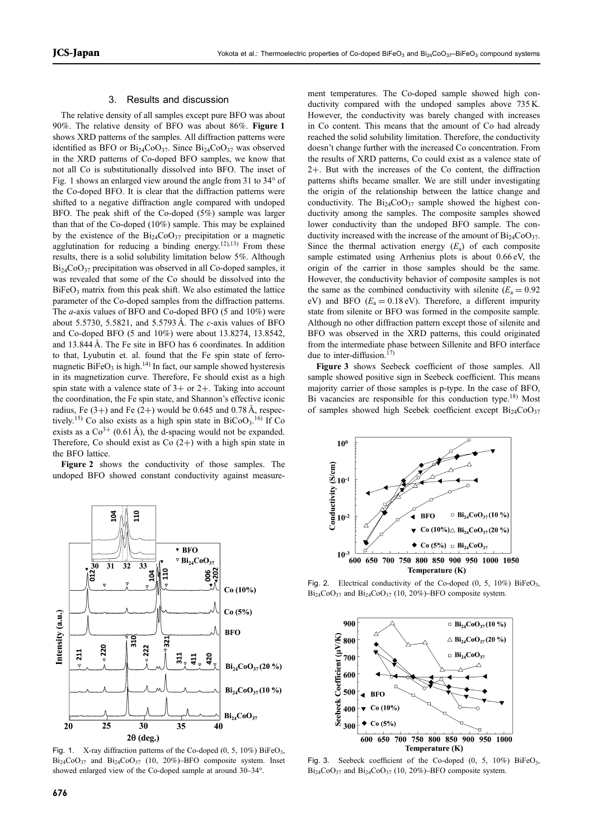#### 3. Results and discussion

The relative density of all samples except pure BFO was about 90%. The relative density of BFO was about 86%. Figure 1 shows XRD patterns of the samples. All diffraction patterns were identified as BFO or  $Bi_{24}CoO_{37}$ . Since  $Bi_{24}CoO_{37}$  was observed in the XRD patterns of Co-doped BFO samples, we know that not all Co is substitutionally dissolved into BFO. The inset of Fig. 1 shows an enlarged view around the angle from 31 to 34° of the Co-doped BFO. It is clear that the diffraction patterns were shifted to a negative diffraction angle compared with undoped BFO. The peak shift of the Co-doped (5%) sample was larger than that of the Co-doped (10%) sample. This may be explained by the existence of the  $Bi_{24}CoO_{37}$  precipitation or a magnetic agglutination for reducing a binding energy.<sup>12),13)</sup> From these results, there is a solid solubility limitation below 5%. Although  $Bi<sub>24</sub>CoO<sub>37</sub>$  precipitation was observed in all Co-doped samples, it was revealed that some of the Co should be dissolved into the  $BiFeO<sub>3</sub>$  matrix from this peak shift. We also estimated the lattice parameter of the Co-doped samples from the diffraction patterns. The a-axis values of BFO and Co-doped BFO (5 and 10%) were about 5.5730, 5.5821, and 5.5793 Å. The  $c$ -axis values of BFO and Co-doped BFO (5 and 10%) were about 13.8274, 13.8542, and 13.844 Å. The Fe site in BFO has 6 coordinates. In addition to that, Lyubutin et. al. found that the Fe spin state of ferromagnetic BiFeO<sub>3</sub> is high.<sup>14)</sup> In fact, our sample showed hysteresis in its magnetization curve. Therefore, Fe should exist as a high spin state with a valence state of  $3+$  or  $2+$ . Taking into account the coordination, the Fe spin state, and Shannon's effective iconic radius, Fe  $(3+)$  and Fe  $(2+)$  would be 0.645 and 0.78 Å, respectively.<sup>15)</sup> Co also exists as a high spin state in  $BiCoO<sub>3</sub>$ .<sup>16)</sup> If Co exists as a  $Co^{3+}$  (0.61 Å), the d-spacing would not be expanded. Therefore, Co should exist as Co  $(2+)$  with a high spin state in the BFO lattice.

Figure 2 shows the conductivity of those samples. The undoped BFO showed constant conductivity against measure-



Fig. 1. X-ray diffraction patterns of the Co-doped  $(0, 5, 10\%)$  BiFeO<sub>3</sub>,  $Bi<sub>24</sub>CoO<sub>37</sub>$  and  $Bi<sub>24</sub>CoO<sub>37</sub>$  (10, 20%)–BFO composite system. Inset showed enlarged view of the Co-doped sample at around 30–34°.

ment temperatures. The Co-doped sample showed high conductivity compared with the undoped samples above 735 K. However, the conductivity was barely changed with increases in Co content. This means that the amount of Co had already reached the solid solubility limitation. Therefore, the conductivity doesn't change further with the increased Co concentration. From the results of XRD patterns, Co could exist as a valence state of 2+. But with the increases of the Co content, the diffraction patterns shifts became smaller. We are still under investigating the origin of the relationship between the lattice change and conductivity. The  $Bi_{24}CoO_{37}$  sample showed the highest conductivity among the samples. The composite samples showed lower conductivity than the undoped BFO sample. The conductivity increased with the increase of the amount of  $Bi_{24}CoO_{37}$ . Since the thermal activation energy  $(E_a)$  of each composite sample estimated using Arrhenius plots is about 0.66 eV, the origin of the carrier in those samples should be the same. However, the conductivity behavior of composite samples is not the same as the combined conductivity with silenite ( $E_a = 0.92$ ) eV) and BFO ( $E_a = 0.18$  eV). Therefore, a different impurity state from silenite or BFO was formed in the composite sample. Although no other diffraction pattern except those of silenite and BFO was observed in the XRD patterns, this could originated from the intermediate phase between Sillenite and BFO interface due to inter-diffusion. $17$ )

Figure 3 shows Seebeck coefficient of those samples. All sample showed positive sign in Seebeck coefficient. This means majority carrier of those samples is p-type. In the case of BFO, Bi vacancies are responsible for this conduction type.<sup>18)</sup> Most of samples showed high Seebek coefficient except  $Bi_{24}CoO_{37}$ 



Fig. 2. Electrical conductivity of the Co-doped  $(0, 5, 10\%)$  BiFeO<sub>3</sub>,  $Bi_{24}CoO_{37}$  and  $Bi_{24}CoO_{37}$  (10, 20%)–BFO composite system.



Fig. 3. Seebeck coefficient of the Co-doped  $(0, 5, 10\%)$  BiFeO<sub>3</sub>,  $Bi_{24}CoO_{37}$  and  $Bi_{24}CoO_{37}$  (10, 20%)–BFO composite system.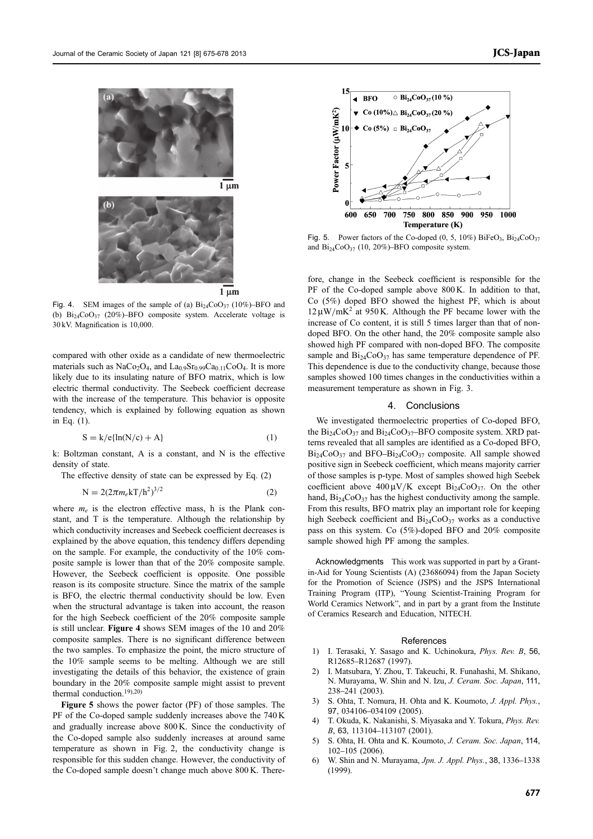



Fig. 4. SEM images of the sample of (a)  $Bi_{24}CoO_{37}$  (10%)–BFO and (b)  $\text{Bi}_{24}\text{CoO}_{37}$  (20%)-BFO composite system. Accelerate voltage is 30 kV. Magnification is 10,000.

compared with other oxide as a candidate of new thermoelectric materials such as NaCo<sub>2</sub>O<sub>4</sub>, and La<sub>0.9</sub>Sr<sub>0.99</sub>Ca<sub>0.11</sub>CoO<sub>4</sub>. It is more likely due to its insulating nature of BFO matrix, which is low electric thermal conductivity. The Seebeck coefficient decrease with the increase of the temperature. This behavior is opposite tendency, which is explained by following equation as shown in Eq. (1).

$$
S = k/e\{ln(N/c) + A\}
$$
 (1)

k: Boltzman constant, A is a constant, and N is the effective density of state.

The effective density of state can be expressed by Eq. (2)

$$
N = 2(2\pi m_e kT/h^2)^{3/2}
$$
 (2)

where  $m_e$  is the electron effective mass, h is the Plank constant, and T is the temperature. Although the relationship by which conductivity increases and Seebeck coefficient decreases is explained by the above equation, this tendency differs depending on the sample. For example, the conductivity of the 10% composite sample is lower than that of the 20% composite sample. However, the Seebeck coefficient is opposite. One possible reason is its composite structure. Since the matrix of the sample is BFO, the electric thermal conductivity should be low. Even when the structural advantage is taken into account, the reason for the high Seebeck coefficient of the 20% composite sample is still unclear. Figure 4 shows SEM images of the 10 and 20% composite samples. There is no significant difference between the two samples. To emphasize the point, the micro structure of the 10% sample seems to be melting. Although we are still investigating the details of this behavior, the existence of grain boundary in the 20% composite sample might assist to prevent thermal conduction.<sup>19),20)</sup>

Figure 5 shows the power factor (PF) of those samples. The PF of the Co-doped sample suddenly increases above the 740 K and gradually increase above 800 K. Since the conductivity of the Co-doped sample also suddenly increases at around same temperature as shown in Fig. 2, the conductivity change is responsible for this sudden change. However, the conductivity of the Co-doped sample doesn't change much above 800 K. There-



Fig. 5. Power factors of the Co-doped  $(0, 5, 10\%)$  BiFeO<sub>3</sub>, Bi<sub>24</sub>CoO<sub>37</sub> and  $Bi_{24}CoO_{37}$  (10, 20%)-BFO composite system.

fore, change in the Seebeck coefficient is responsible for the PF of the Co-doped sample above 800 K. In addition to that, Co (5%) doped BFO showed the highest PF, which is about  $12 \mu W/mK^2$  at 950 K. Although the PF became lower with the increase of Co content, it is still 5 times larger than that of nondoped BFO. On the other hand, the 20% composite sample also showed high PF compared with non-doped BFO. The composite sample and  $Bi<sub>24</sub>Co<sub>37</sub>$  has same temperature dependence of PF. This dependence is due to the conductivity change, because those samples showed 100 times changes in the conductivities within a measurement temperature as shown in Fig. 3.

### 4. Conclusions

We investigated thermoelectric properties of Co-doped BFO, the  $Bi_{24}CoO_{37}$  and  $Bi_{24}CoO_{37}$ -BFO composite system. XRD patterns revealed that all samples are identified as a Co-doped BFO,  $Bi<sub>24</sub>CoO<sub>37</sub>$  and BFO-Bi<sub>24</sub>CoO<sub>37</sub> composite. All sample showed positive sign in Seebeck coefficient, which means majority carrier of those samples is p-type. Most of samples showed high Seebek coefficient above  $400 \mu \text{V/K}$  except  $\text{Bi}_{24}\text{CoO}_{37}$ . On the other hand,  $Bi_{24}CoO_{37}$  has the highest conductivity among the sample. From this results, BFO matrix play an important role for keeping high Seebeck coefficient and  $Bi_{24}CoO_{37}$  works as a conductive pass on this system. Co (5%)-doped BFO and 20% composite sample showed high PF among the samples.

Acknowledgments This work was supported in part by a Grantin-Aid for Young Scientists (A) (23686094) from the Japan Society for the Promotion of Science (JSPS) and the JSPS International Training Program (ITP), "Young Scientist-Training Program for World Ceramics Network", and in part by a grant from the Institute of Ceramics Research and Education, NITECH.

#### References

- 1) I. Terasaki, Y. Sasago and K. Uchinokura, Phys. Rev. B, <sup>56</sup>, R12685-R12687 (1997).
- 2) I. Matsubara, Y. Zhou, T. Takeuchi, R. Funahashi, M. Shikano, N. Murayama, W. Shin and N. Izu, J. Ceram. Soc. Japan, <sup>111</sup>, 238241 (2003).
- 3) S. Ohta, T. Nomura, H. Ohta and K. Koumoto, J. Appl. Phys., 97, 034106-034109 (2005).
- T. Okuda, K. Nakanishi, S. Miyasaka and Y. Tokura, Phys. Rev. B, 63, 113104-113107 (2001).
- 5) S. Ohta, H. Ohta and K. Koumoto, J. Ceram. Soc. Japan, 114, 102-105 (2006).
- 6) W. Shin and N. Murayama, *Jpn. J. Appl. Phys.*, 38, 1336–1338 (1999).